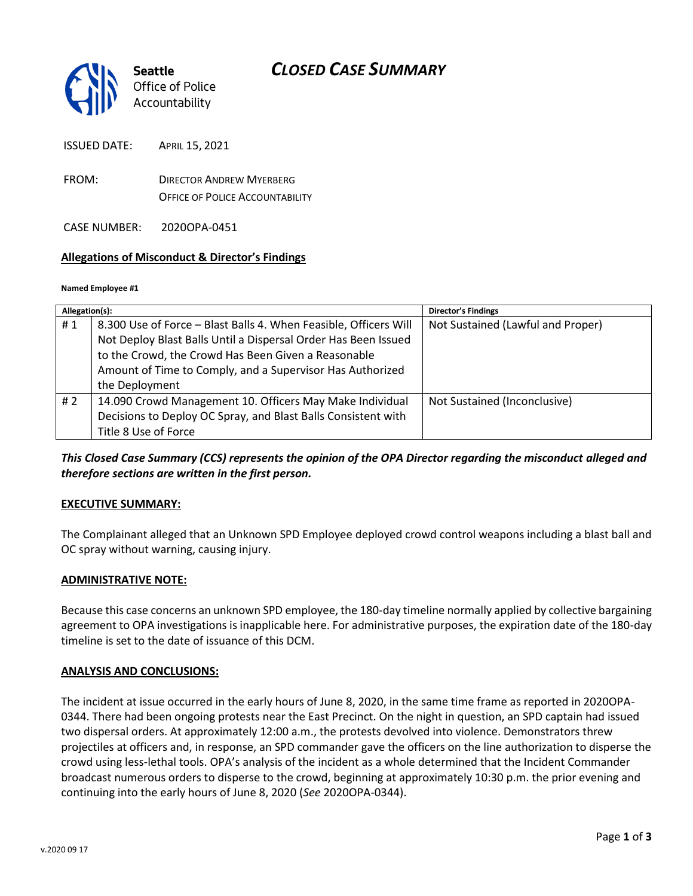# *CLOSED CASE SUMMARY*



ISSUED DATE: APRIL 15, 2021

FROM: DIRECTOR ANDREW MYERBERG OFFICE OF POLICE ACCOUNTABILITY

CASE NUMBER: 2020OPA-0451

### **Allegations of Misconduct & Director's Findings**

#### **Named Employee #1**

| Allegation(s): |                                                                  | <b>Director's Findings</b>        |
|----------------|------------------------------------------------------------------|-----------------------------------|
| #1             | 8.300 Use of Force - Blast Balls 4. When Feasible, Officers Will | Not Sustained (Lawful and Proper) |
|                | Not Deploy Blast Balls Until a Dispersal Order Has Been Issued   |                                   |
|                | to the Crowd, the Crowd Has Been Given a Reasonable              |                                   |
|                | Amount of Time to Comply, and a Supervisor Has Authorized        |                                   |
|                | the Deployment                                                   |                                   |
| #2             | 14.090 Crowd Management 10. Officers May Make Individual         | Not Sustained (Inconclusive)      |
|                | Decisions to Deploy OC Spray, and Blast Balls Consistent with    |                                   |
|                | Title 8 Use of Force                                             |                                   |

*This Closed Case Summary (CCS) represents the opinion of the OPA Director regarding the misconduct alleged and therefore sections are written in the first person.* 

### **EXECUTIVE SUMMARY:**

The Complainant alleged that an Unknown SPD Employee deployed crowd control weapons including a blast ball and OC spray without warning, causing injury.

### **ADMINISTRATIVE NOTE:**

Because this case concerns an unknown SPD employee, the 180-day timeline normally applied by collective bargaining agreement to OPA investigations is inapplicable here. For administrative purposes, the expiration date of the 180-day timeline is set to the date of issuance of this DCM.

#### **ANALYSIS AND CONCLUSIONS:**

The incident at issue occurred in the early hours of June 8, 2020, in the same time frame as reported in 2020OPA-0344. There had been ongoing protests near the East Precinct. On the night in question, an SPD captain had issued two dispersal orders. At approximately 12:00 a.m., the protests devolved into violence. Demonstrators threw projectiles at officers and, in response, an SPD commander gave the officers on the line authorization to disperse the crowd using less-lethal tools. OPA's analysis of the incident as a whole determined that the Incident Commander broadcast numerous orders to disperse to the crowd, beginning at approximately 10:30 p.m. the prior evening and continuing into the early hours of June 8, 2020 (*See* 2020OPA-0344).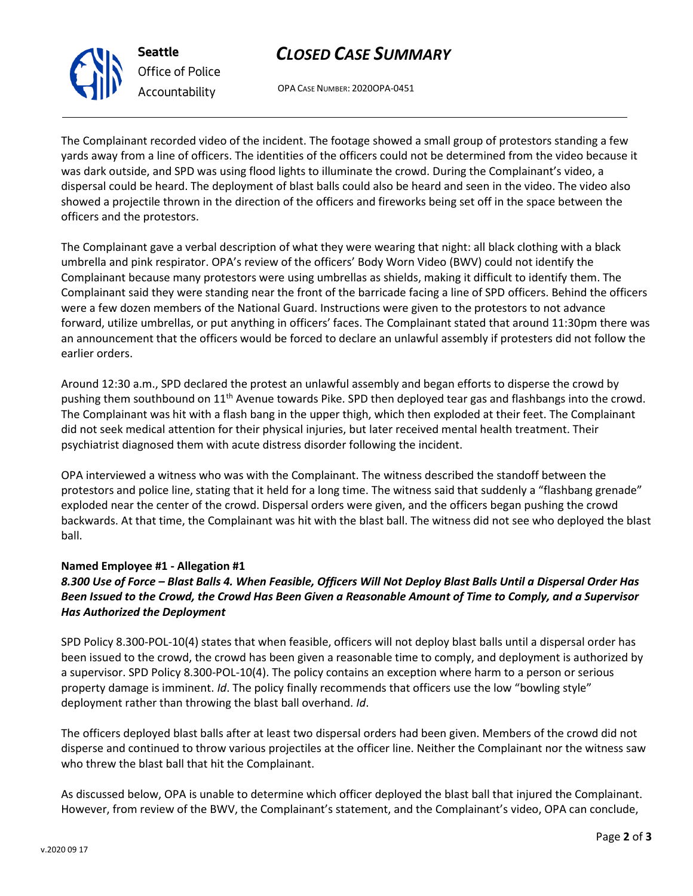# *CLOSED CASE SUMMARY*

OPA CASE NUMBER: 2020OPA-0451

The Complainant recorded video of the incident. The footage showed a small group of protestors standing a few yards away from a line of officers. The identities of the officers could not be determined from the video because it was dark outside, and SPD was using flood lights to illuminate the crowd. During the Complainant's video, a dispersal could be heard. The deployment of blast balls could also be heard and seen in the video. The video also showed a projectile thrown in the direction of the officers and fireworks being set off in the space between the officers and the protestors.

The Complainant gave a verbal description of what they were wearing that night: all black clothing with a black umbrella and pink respirator. OPA's review of the officers' Body Worn Video (BWV) could not identify the Complainant because many protestors were using umbrellas as shields, making it difficult to identify them. The Complainant said they were standing near the front of the barricade facing a line of SPD officers. Behind the officers were a few dozen members of the National Guard. Instructions were given to the protestors to not advance forward, utilize umbrellas, or put anything in officers' faces. The Complainant stated that around 11:30pm there was an announcement that the officers would be forced to declare an unlawful assembly if protesters did not follow the earlier orders.

Around 12:30 a.m., SPD declared the protest an unlawful assembly and began efforts to disperse the crowd by pushing them southbound on 11th Avenue towards Pike. SPD then deployed tear gas and flashbangs into the crowd. The Complainant was hit with a flash bang in the upper thigh, which then exploded at their feet. The Complainant did not seek medical attention for their physical injuries, but later received mental health treatment. Their psychiatrist diagnosed them with acute distress disorder following the incident.

OPA interviewed a witness who was with the Complainant. The witness described the standoff between the protestors and police line, stating that it held for a long time. The witness said that suddenly a "flashbang grenade" exploded near the center of the crowd. Dispersal orders were given, and the officers began pushing the crowd backwards. At that time, the Complainant was hit with the blast ball. The witness did not see who deployed the blast ball.

## **Named Employee #1 - Allegation #1**

## *8.300 Use of Force – Blast Balls 4. When Feasible, Officers Will Not Deploy Blast Balls Until a Dispersal Order Has Been Issued to the Crowd, the Crowd Has Been Given a Reasonable Amount of Time to Comply, and a Supervisor Has Authorized the Deployment*

SPD Policy 8.300-POL-10(4) states that when feasible, officers will not deploy blast balls until a dispersal order has been issued to the crowd, the crowd has been given a reasonable time to comply, and deployment is authorized by a supervisor. SPD Policy 8.300-POL-10(4). The policy contains an exception where harm to a person or serious property damage is imminent. *Id*. The policy finally recommends that officers use the low "bowling style" deployment rather than throwing the blast ball overhand. *Id*.

The officers deployed blast balls after at least two dispersal orders had been given. Members of the crowd did not disperse and continued to throw various projectiles at the officer line. Neither the Complainant nor the witness saw who threw the blast ball that hit the Complainant.

As discussed below, OPA is unable to determine which officer deployed the blast ball that injured the Complainant. However, from review of the BWV, the Complainant's statement, and the Complainant's video, OPA can conclude,



**Seattle** *Office of Police Accountability*